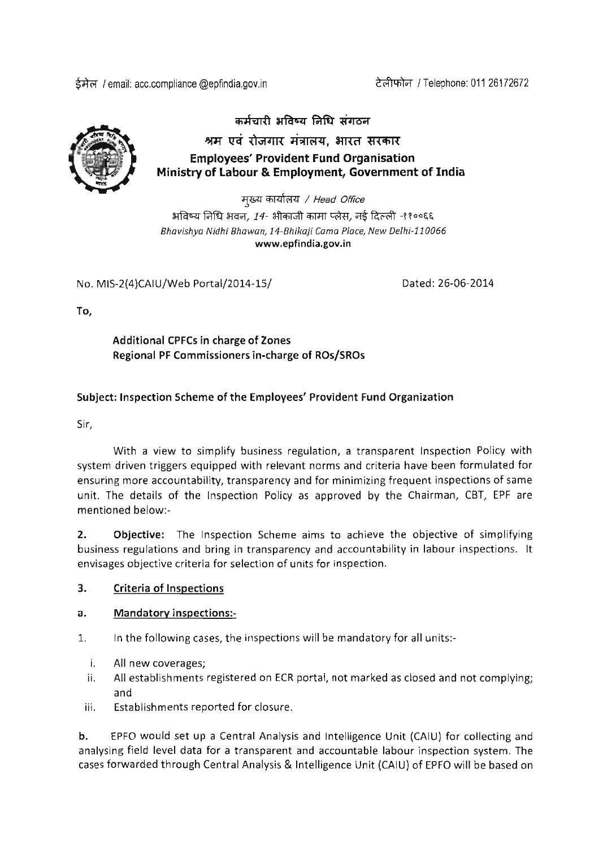ईमेल / email: acc.compliance @epfindia.gov.in ethnology and the complete of the control of the state of the st



# कर्मचारी भविष्य निधि संगठन श्रम एवं रोजगार मंत्रालय. भारत सरकार Employees' Provident Fund Organisation Ministry of Labour & Employment, Government of India

मुख्य कार्यालय */ Head Office*  $^{2}$ मविष्य निधि भवन, 14- भीकाजी कामा प्लेस, नई दिल्ली -११००६६ *Bhavishya Nidhi Bhawan, 14-Bhikaji Cama Place, New Delhi-ll 0066* [www.epfindia.gov.in](http://www.epfindia.gov.in)

No. MIS-2(4)CAIU/Web PortaI/2014-15/ Dated: 26-06-2014

To,

Additional CPFCs in charge of Zones Regional PF Commissioners in-charge of ROs/SROs

# Subject: Inspection Scheme of the Employees' Provident Fund Organization

Sir,

With a view to simplify business regulation, a transparent Inspection Policy with system driven triggers equipped with relevant norms and criteria have been formulated for ensuring more accountability, transparency and for minimizing frequent inspections of same unit. The details of the Inspection Policy as approved by the Chairman, CBT, EPF are mentioned below:-

2. **Objective:** The Inspection Scheme aims to achieve the objective of simplifying business regulations and bring in transparency and accountability in labour inspections. It envisages objective criteria for selection of units for inspection.

## 3. Criteria of Inspections

#### a. Mandatory inspections:-

- 1. In the following cases, the inspections will be mandatory for all units:
	- i. All new coverages;
	- ii. All establishments registered on ECR portal, not marked as closed and not complying; and
- iii. Establishments reported for closure.

b. EPFO would set up a Central Analysis and Intelligence Unit (CAIU) for collecting and analysing field level data for a transparent and accountable labour inspection system. The cases forwarded through Central Analysis & Intelligence Unit (CAIU) of EPFOwill be based on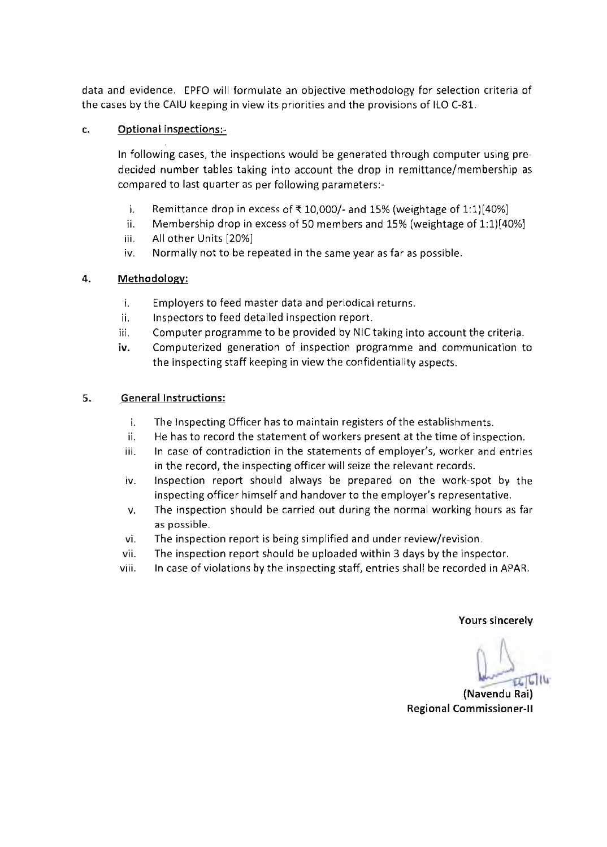data and evidence. EPFO will formulate an objective methodology for selection criteria of the cases by the CAIU keeping in view its priorities and the provisions of ILO C-81.

#### c. Optional inspections:-

In following cases, the inspections would be generated through computer using predecided number tables taking into account the drop in remittance/membership as compared to last quarter as per following parameters:-

- i. Remittance drop in excess of  $\bar{x}$  10,000/- and 15% (weightage of 1:1)[40%]
- ii. Membership drop in excess of 50 members and 15% (weightage of 1:1)[40%]
- iii. All other Units [20%]
- iv. Normally not to be repeated in the same year as far as possible.

### 4. Methodology:

- i. Employers to feed master data and periodical returns.
- ii. Inspectors to feed detailed inspection report.
- iii. Computer programme to be provided by NIC taking into account the criteria.
- iv. Computerized generation of inspection programme and communication to the inspecting staff keeping in view the confidentiality aspects.

#### 5. General Instructions:

- i. The Inspecting Officer has to maintain registers of the establishments.
- ii. He has to record the statement of workers present at the time of inspection.
- iii. In case of contradiction in the statements of employer's, worker and entries in the record, the inspecting officer will seize the relevant records.
- iv. Inspection report should always be prepared on the work-spot by the inspecting officer himself and handover to the employer's representative.
- v. The inspection should be carried out during the normal working hours as far as possible.
- vi. The inspection report is being simplified and under review/revision.
- vii. The inspection report should be uploaded within 3 days by the inspector.
- viii. In case of violations by the inspecting staff, entries shall be recorded in APAR.

#### Yours sincerely

~I~

(Navendu Rai) Regional Commissioner-II